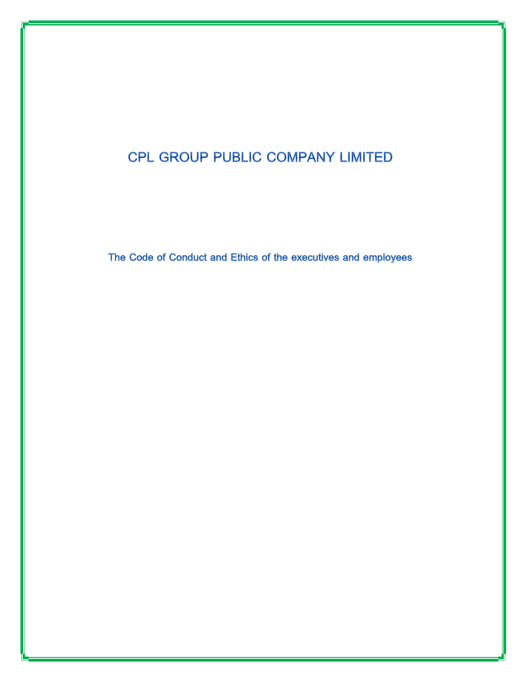# CPL GROUP PUBLIC COMPANY LIMITED

The Code of Conduct and Ethics of the executives and employees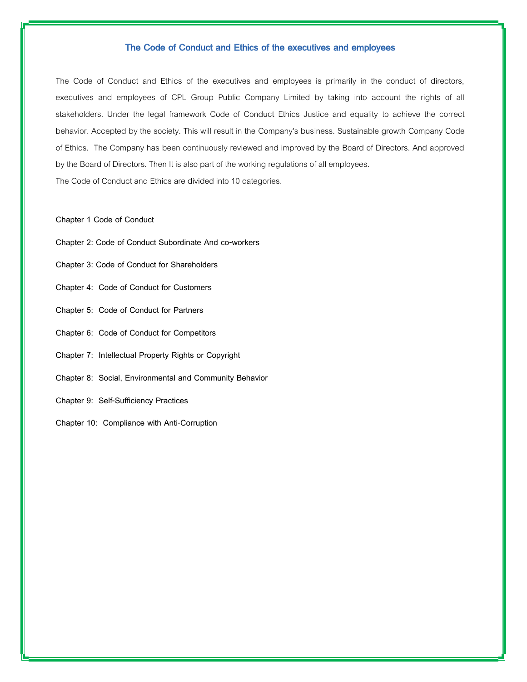# The Code of Conduct and Ethics of the executives and employees

The Code of Conduct and Ethics of the executives and employees is primarily in the conduct of directors, executives and employees of CPL Group Public Company Limited by taking into account the rights of all stakeholders. Under the legal framework Code of Conduct Ethics Justice and equality to achieve the correct behavior. Accepted by the society. This will result in the Company's business. Sustainable growth Company Code of Ethics. The Company has been continuously reviewed and improved by the Board of Directors. And approved by the Board of Directors. Then It is also part of the working regulations of all employees.

The Code of Conduct and Ethics are divided into 10 categories.

#### **Chapter 1 Code of Conduct**

- **Chapter 2: Code of Conduct Subordinate And co-workers**
- **Chapter 3: Code of Conduct for Shareholders**
- **Chapter 4: Code of Conduct for Customers**
- **Chapter 5: Code of Conduct for Partners**
- **Chapter 6: Code of Conduct for Competitors**
- **Chapter 7: Intellectual Property Rights or Copyright**
- **Chapter 8: Social, Environmental and Community Behavior**
- **Chapter 9: Self-Sufficiency Practices**
- **Chapter 10: Compliance with Anti-Corruption**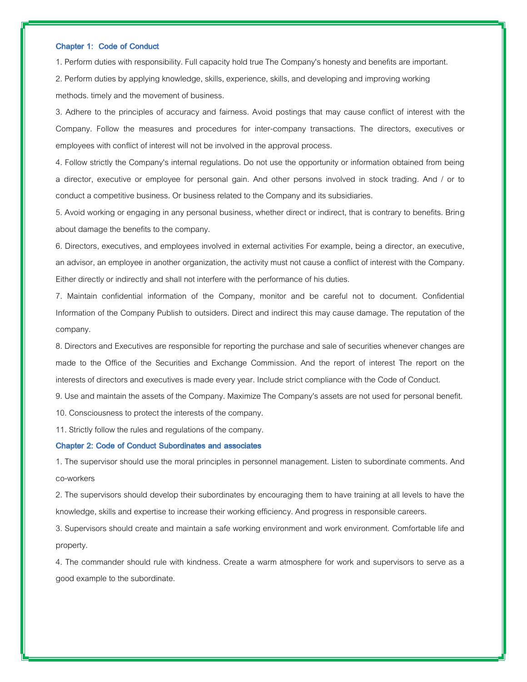#### **Chapter 1: Code of Conduct**

1. Perform duties with responsibility. Full capacity hold true The Company's honesty and benefits are important.

2. Perform duties by applying knowledge, skills, experience, skills, and developing and improving working methods. timely and the movement of business.

3. Adhere to the principles of accuracy and fairness. Avoid postings that may cause conflict of interest with the Company. Follow the measures and procedures for inter-company transactions. The directors, executives or employees with conflict of interest will not be involved in the approval process.

4. Follow strictly the Company's internal regulations. Do not use the opportunity or information obtained from being a director, executive or employee for personal gain. And other persons involved in stock trading. And / or to conduct a competitive business. Or business related to the Company and its subsidiaries.

5. Avoid working or engaging in any personal business, whether direct or indirect, that is contrary to benefits. Bring about damage the benefits to the company.

6. Directors, executives, and employees involved in external activities For example, being a director, an executive, an advisor, an employee in another organization, the activity must not cause a conflict of interest with the Company. Either directly or indirectly and shall not interfere with the performance of his duties.

7. Maintain confidential information of the Company, monitor and be careful not to document. Confidential Information of the Company Publish to outsiders. Direct and indirect this may cause damage. The reputation of the company.

8. Directors and Executives are responsible for reporting the purchase and sale of securities whenever changes are made to the Office of the Securities and Exchange Commission. And the report of interest The report on the interests of directors and executives is made every year. Include strict compliance with the Code of Conduct.

9. Use and maintain the assets of the Company. Maximize The Company's assets are not used for personal benefit.

10. Consciousness to protect the interests of the company.

11. Strictly follow the rules and regulations of the company.

# **Chapter 2: Code of Conduct Subordinates and associates**

1. The supervisor should use the moral principles in personnel management. Listen to subordinate comments. And co-workers

2. The supervisors should develop their subordinates by encouraging them to have training at all levels to have the knowledge, skills and expertise to increase their working efficiency. And progress in responsible careers.

3. Supervisors should create and maintain a safe working environment and work environment. Comfortable life and property.

4. The commander should rule with kindness. Create a warm atmosphere for work and supervisors to serve as a good example to the subordinate.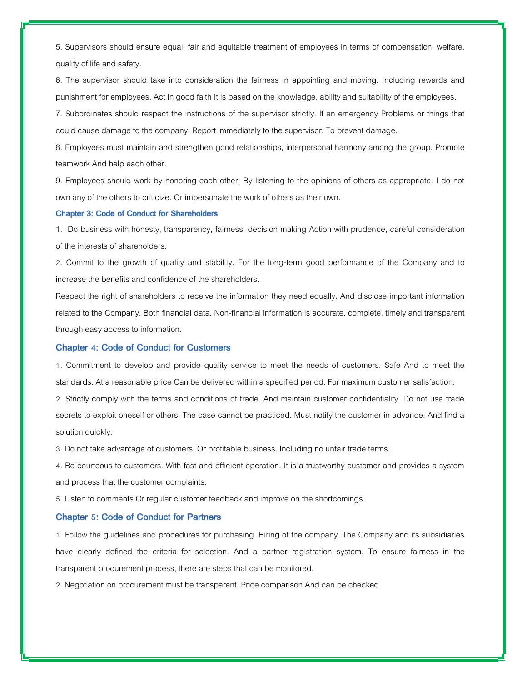5. Supervisors should ensure equal, fair and equitable treatment of employees in terms of compensation, welfare, quality of life and safety.

6. The supervisor should take into consideration the fairness in appointing and moving. Including rewards and punishment for employees. Act in good faith It is based on the knowledge, ability and suitability of the employees.

7. Subordinates should respect the instructions of the supervisor strictly. If an emergency Problems or things that could cause damage to the company. Report immediately to the supervisor. To prevent damage.

8. Employees must maintain and strengthen good relationships, interpersonal harmony among the group. Promote teamwork And help each other.

9. Employees should work by honoring each other. By listening to the opinions of others as appropriate. I do not own any of the others to criticize. Or impersonate the work of others as their own.

#### **Chapter 3: Code of Conduct for Shareholders**

1. Do business with honesty, transparency, fairness, decision making Action with prudence, careful consideration of the interests of shareholders.

2. Commit to the growth of quality and stability. For the long-term good performance of the Company and to increase the benefits and confidence of the shareholders.

Respect the right of shareholders to receive the information they need equally. And disclose important information related to the Company. Both financial data. Non-financial information is accurate, complete, timely and transparent through easy access to information.

# **Chapter 4: Code of Conduct for Customers**

1. Commitment to develop and provide quality service to meet the needs of customers. Safe And to meet the standards. At a reasonable price Can be delivered within a specified period. For maximum customer satisfaction.

2. Strictly comply with the terms and conditions of trade. And maintain customer confidentiality. Do not use trade secrets to exploit oneself or others. The case cannot be practiced. Must notify the customer in advance. And find a solution quickly.

3. Do not take advantage of customers. Or profitable business. Including no unfair trade terms.

4. Be courteous to customers. With fast and efficient operation. It is a trustworthy customer and provides a system and process that the customer complaints.

5. Listen to comments Or regular customer feedback and improve on the shortcomings.

# **Chapter 5: Code of Conduct for Partners**

1. Follow the guidelines and procedures for purchasing. Hiring of the company. The Company and its subsidiaries have clearly defined the criteria for selection. And a partner registration system. To ensure fairness in the transparent procurement process, there are steps that can be monitored.

2. Negotiation on procurement must be transparent. Price comparison And can be checked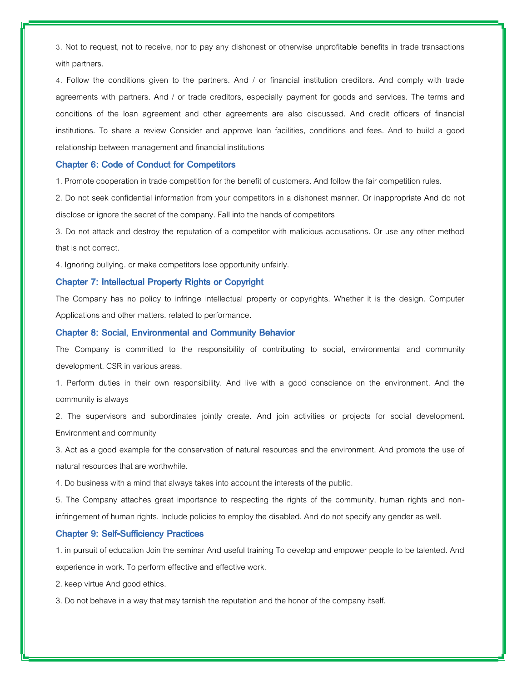3. Not to request, not to receive, nor to pay any dishonest or otherwise unprofitable benefits in trade transactions with partners.

4. Follow the conditions given to the partners. And / or financial institution creditors. And comply with trade agreements with partners. And / or trade creditors, especially payment for goods and services. The terms and conditions of the loan agreement and other agreements are also discussed. And credit officers of financial institutions. To share a review Consider and approve loan facilities, conditions and fees. And to build a good relationship between management and financial institutions

## **Chapter 6: Code of Conduct for Competitors**

1. Promote cooperation in trade competition for the benefit of customers. And follow the fair competition rules.

2. Do not seek confidential information from your competitors in a dishonest manner. Or inappropriate And do not disclose or ignore the secret of the company. Fall into the hands of competitors

3. Do not attack and destroy the reputation of a competitor with malicious accusations. Or use any other method that is not correct.

4. Ignoring bullying. or make competitors lose opportunity unfairly.

## **Chapter 7: Intellectual Property Rights or Copyright**

The Company has no policy to infringe intellectual property or copyrights. Whether it is the design. Computer Applications and other matters. related to performance.

# **Chapter 8: Social, Environmental and Community Behavior**

The Company is committed to the responsibility of contributing to social, environmental and community development. CSR in various areas.

1. Perform duties in their own responsibility. And live with a good conscience on the environment. And the community is always

2. The supervisors and subordinates jointly create. And join activities or projects for social development. Environment and community

3. Act as a good example for the conservation of natural resources and the environment. And promote the use of natural resources that are worthwhile.

4. Do business with a mind that always takes into account the interests of the public.

5. The Company attaches great importance to respecting the rights of the community, human rights and noninfringement of human rights. Include policies to employ the disabled. And do not specify any gender as well.

# **Chapter 9: Self-Sufficiency Practices**

1. in pursuit of education Join the seminar And useful training To develop and empower people to be talented. And experience in work. To perform effective and effective work.

2. keep virtue And good ethics.

3. Do not behave in a way that may tarnish the reputation and the honor of the company itself.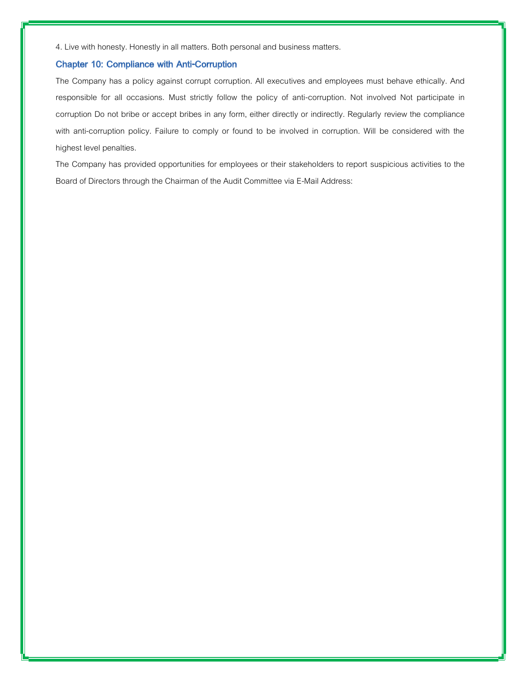4. Live with honesty. Honestly in all matters. Both personal and business matters.

# **Chapter 10: Compliance with Anti-Corruption**

The Company has a policy against corrupt corruption. All executives and employees must behave ethically. And responsible for all occasions. Must strictly follow the policy of anti-corruption. Not involved Not participate in corruption Do not bribe or accept bribes in any form, either directly or indirectly. Regularly review the compliance with anti-corruption policy. Failure to comply or found to be involved in corruption. Will be considered with the highest level penalties.

The Company has provided opportunities for employees or their stakeholders to report suspicious activities to the Board of Directors through the Chairman of the Audit Committee via E-Mail Address: